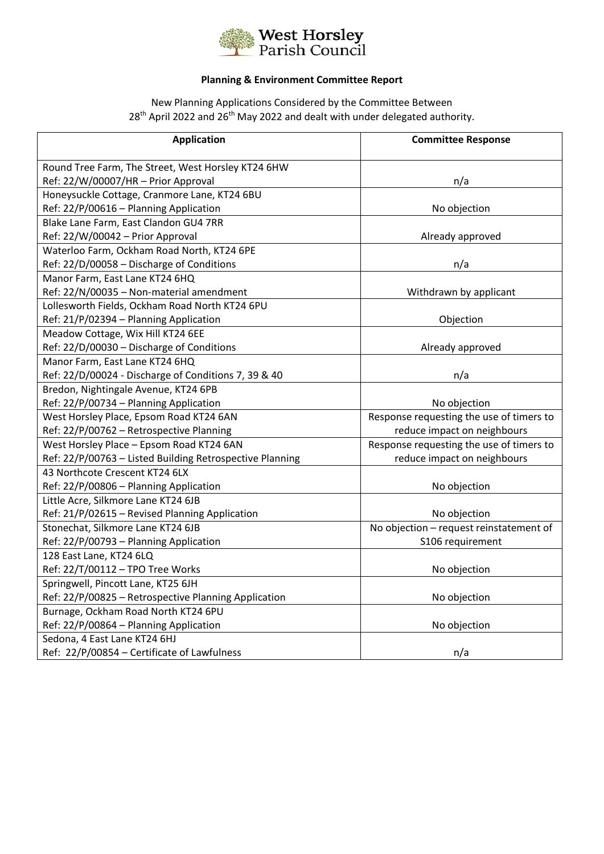

## **Planning & Environment Committee Report**

New Planning Applications Considered by the Committee Between 28<sup>th</sup> April 2022 and 26<sup>th</sup> May 2022 and dealt with under delegated authority.

| <b>Application</b>                                       | <b>Committee Response</b>                |  |
|----------------------------------------------------------|------------------------------------------|--|
| Round Tree Farm, The Street, West Horsley KT24 6HW       |                                          |  |
| Ref: 22/W/00007/HR - Prior Approval                      | n/a                                      |  |
| Honeysuckle Cottage, Cranmore Lane, KT24 6BU             |                                          |  |
| Ref: 22/P/00616 - Planning Application                   | No objection                             |  |
| Blake Lane Farm, East Clandon GU4 7RR                    |                                          |  |
| Ref: 22/W/00042 - Prior Approval                         | Already approved                         |  |
| Waterloo Farm, Ockham Road North, KT24 6PE               |                                          |  |
| Ref: 22/D/00058 - Discharge of Conditions                | n/a                                      |  |
| Manor Farm, East Lane KT24 6HQ                           |                                          |  |
| Ref: 22/N/00035 - Non-material amendment                 | Withdrawn by applicant                   |  |
| Lollesworth Fields, Ockham Road North KT24 6PU           |                                          |  |
| Ref: 21/P/02394 - Planning Application                   | Objection                                |  |
| Meadow Cottage, Wix Hill KT24 6EE                        |                                          |  |
| Ref: 22/D/00030 - Discharge of Conditions                | Already approved                         |  |
| Manor Farm, East Lane KT24 6HQ                           |                                          |  |
| Ref: 22/D/00024 - Discharge of Conditions 7, 39 & 40     | n/a                                      |  |
| Bredon, Nightingale Avenue, KT24 6PB                     |                                          |  |
| Ref: 22/P/00734 - Planning Application                   | No objection                             |  |
| West Horsley Place, Epsom Road KT24 6AN                  | Response requesting the use of timers to |  |
| Ref: 22/P/00762 - Retrospective Planning                 | reduce impact on neighbours              |  |
| West Horsley Place - Epsom Road KT24 6AN                 | Response requesting the use of timers to |  |
| Ref: 22/P/00763 - Listed Building Retrospective Planning | reduce impact on neighbours              |  |
| 43 Northcote Crescent KT24 6LX                           |                                          |  |
| Ref: 22/P/00806 - Planning Application                   | No objection                             |  |
| Little Acre, Silkmore Lane KT24 6JB                      |                                          |  |
| Ref: 21/P/02615 - Revised Planning Application           | No objection                             |  |
| Stonechat, Silkmore Lane KT24 6JB                        | No objection - request reinstatement of  |  |
| Ref: 22/P/00793 - Planning Application                   | S106 requirement                         |  |
| 128 East Lane, KT24 6LQ                                  |                                          |  |
| Ref: 22/T/00112 - TPO Tree Works                         | No objection                             |  |
| Springwell, Pincott Lane, KT25 6JH                       |                                          |  |
| Ref: 22/P/00825 - Retrospective Planning Application     | No objection                             |  |
| Burnage, Ockham Road North KT24 6PU                      |                                          |  |
| Ref: 22/P/00864 - Planning Application                   | No objection                             |  |
| Sedona, 4 East Lane KT24 6HJ                             |                                          |  |
| Ref: 22/P/00854 - Certificate of Lawfulness              | n/a                                      |  |